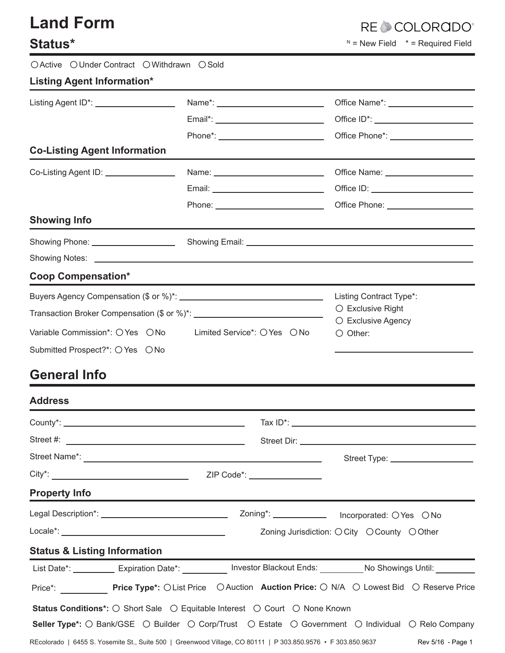| <b>Land Form</b><br><b>Status*</b>          |                              | <b>RECCOLORGDO</b><br>$N =$ New Field $* =$ Required Field                                                                                                                                                                     |  |  |  |
|---------------------------------------------|------------------------------|--------------------------------------------------------------------------------------------------------------------------------------------------------------------------------------------------------------------------------|--|--|--|
| OActive OUnder Contract OWithdrawn OSold    |                              |                                                                                                                                                                                                                                |  |  |  |
| <b>Listing Agent Information*</b>           |                              |                                                                                                                                                                                                                                |  |  |  |
| Listing Agent ID*: ___________________      |                              |                                                                                                                                                                                                                                |  |  |  |
|                                             |                              |                                                                                                                                                                                                                                |  |  |  |
| <b>Co-Listing Agent Information</b>         |                              |                                                                                                                                                                                                                                |  |  |  |
| Co-Listing Agent ID: \\co-Listing Agent ID: |                              |                                                                                                                                                                                                                                |  |  |  |
|                                             |                              |                                                                                                                                                                                                                                |  |  |  |
|                                             |                              |                                                                                                                                                                                                                                |  |  |  |
| <b>Showing Info</b>                         |                              |                                                                                                                                                                                                                                |  |  |  |
|                                             |                              | Showing Email: Showing Email:                                                                                                                                                                                                  |  |  |  |
|                                             |                              |                                                                                                                                                                                                                                |  |  |  |
| <b>Coop Compensation*</b>                   |                              |                                                                                                                                                                                                                                |  |  |  |
|                                             |                              | Listing Contract Type*:                                                                                                                                                                                                        |  |  |  |
|                                             |                              | $\bigcirc$ Exclusive Right<br>○ Exclusive Agency                                                                                                                                                                               |  |  |  |
| Variable Commission*: O Yes O No            | Limited Service*: ○ Yes ○ No | $\bigcirc$ Other:                                                                                                                                                                                                              |  |  |  |
| Submitted Prospect?*: ○ Yes ○ No            |                              |                                                                                                                                                                                                                                |  |  |  |
| <b>General Info</b>                         |                              |                                                                                                                                                                                                                                |  |  |  |
| <b>Address</b>                              |                              |                                                                                                                                                                                                                                |  |  |  |
|                                             |                              |                                                                                                                                                                                                                                |  |  |  |
|                                             |                              | Street Dir: North Commission and Commission and Commission and Commission and Commission and Commission and Commission and Commission and Commission and Commission and Commission and Commission and Commission and Commissio |  |  |  |
|                                             |                              |                                                                                                                                                                                                                                |  |  |  |
|                                             | ZIP Code*: _________________ |                                                                                                                                                                                                                                |  |  |  |
| <b>Property Info</b>                        |                              |                                                                                                                                                                                                                                |  |  |  |
|                                             |                              | Zoning*: _______________ Incorporated: OYes ONo                                                                                                                                                                                |  |  |  |
|                                             |                              | Zoning Jurisdiction: ○ City ○ County ○ Other                                                                                                                                                                                   |  |  |  |
| <b>Status &amp; Listing Information</b>     |                              |                                                                                                                                                                                                                                |  |  |  |

List Date\*: \_\_\_\_\_\_\_\_\_\_ Expiration Date\*: \_\_\_\_\_\_\_\_\_\_ Investor Blackout Ends: \_\_\_\_\_\_\_\_\_ No Showings Until: \_\_\_\_ Price\*: \_\_\_\_\_\_\_\_\_\_\_\_ Price Type\*: OList Price OAuction Auction Price: O N/A O Lowest Bid O Reserve Price Status Conditions\*: O Short Sale O Equitable Interest O Court O None Known Seller Type\*: O Bank/GSE O Builder O Corp/Trust O Estate O Government O Individual O Relo Company

REcolorado | 6455 S. Yosemite St., Suite 500 | Greenwood Village, CO 80111 | P 303.850.9576 • F 303.850.9637

## Rev 5/16 - Page 1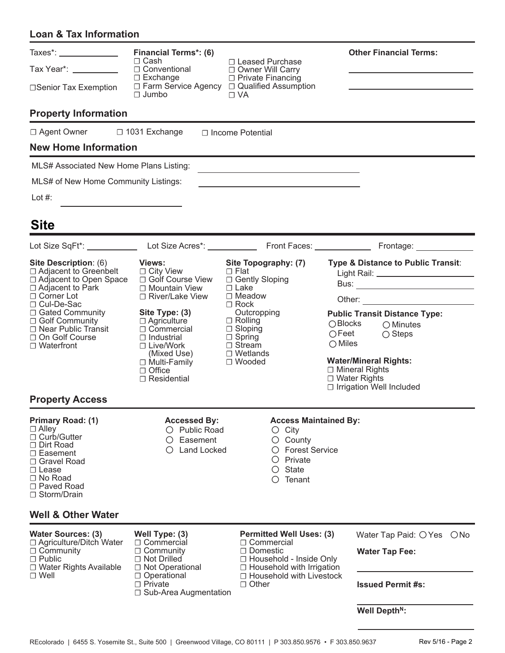## **Loan & Tax Information**

| Taxes*: $\frac{1}{\sqrt{1-\frac{1}{2}}}\frac{1}{\sqrt{1-\frac{1}{2}}}\frac{1}{\sqrt{1-\frac{1}{2}}}\frac{1}{\sqrt{1-\frac{1}{2}}}\frac{1}{\sqrt{1-\frac{1}{2}}}\frac{1}{\sqrt{1-\frac{1}{2}}}\frac{1}{\sqrt{1-\frac{1}{2}}}\frac{1}{\sqrt{1-\frac{1}{2}}}\frac{1}{\sqrt{1-\frac{1}{2}}}\frac{1}{\sqrt{1-\frac{1}{2}}}\frac{1}{\sqrt{1-\frac{1}{2}}}\frac{1}{\sqrt{1-\frac{1}{2}}}\frac{1}{\sqrt{1-\frac{1}{2}}}\frac{1$ | <b>Financial Terms*: (6)</b>                                                                                       |                                                                                                       | <b>Other Financial Terms:</b>                           |  |  |  |
|-------------------------------------------------------------------------------------------------------------------------------------------------------------------------------------------------------------------------------------------------------------------------------------------------------------------------------------------------------------------------------------------------------------------------|--------------------------------------------------------------------------------------------------------------------|-------------------------------------------------------------------------------------------------------|---------------------------------------------------------|--|--|--|
| Tax Year*: ___________                                                                                                                                                                                                                                                                                                                                                                                                  | $\Box$ Cash<br>□ Conventional                                                                                      | □ Leased Purchase<br>□ Owner Will Carry                                                               |                                                         |  |  |  |
| □Senior Tax Exemption                                                                                                                                                                                                                                                                                                                                                                                                   | $\Box$ Exchange                                                                                                    | □ Private Financing<br>□ Farm Service Agency □ Qualified Assumption                                   |                                                         |  |  |  |
|                                                                                                                                                                                                                                                                                                                                                                                                                         |                                                                                                                    |                                                                                                       |                                                         |  |  |  |
| <b>Property Information</b>                                                                                                                                                                                                                                                                                                                                                                                             |                                                                                                                    |                                                                                                       |                                                         |  |  |  |
| □ Agent Owner □ 1031 Exchange                                                                                                                                                                                                                                                                                                                                                                                           |                                                                                                                    | $\Box$ Income Potential                                                                               |                                                         |  |  |  |
| <b>New Home Information</b>                                                                                                                                                                                                                                                                                                                                                                                             |                                                                                                                    |                                                                                                       |                                                         |  |  |  |
| MLS# Associated New Home Plans Listing:                                                                                                                                                                                                                                                                                                                                                                                 |                                                                                                                    |                                                                                                       |                                                         |  |  |  |
| MLS# of New Home Community Listings:                                                                                                                                                                                                                                                                                                                                                                                    |                                                                                                                    |                                                                                                       |                                                         |  |  |  |
| Lot #:                                                                                                                                                                                                                                                                                                                                                                                                                  |                                                                                                                    |                                                                                                       |                                                         |  |  |  |
| <b>Site</b>                                                                                                                                                                                                                                                                                                                                                                                                             |                                                                                                                    |                                                                                                       |                                                         |  |  |  |
|                                                                                                                                                                                                                                                                                                                                                                                                                         |                                                                                                                    |                                                                                                       |                                                         |  |  |  |
| Site Description: (6)<br>$\Box$ Adjacent to Greenbelt<br>$\Box$ Adjacent to Open Space                                                                                                                                                                                                                                                                                                                                  | <b>Views:</b><br>$\Box$ City View<br>□ Golf Course View                                                            | Site Topography: (7)<br>$\Box$ Flat<br>□ Gently Sloping                                               | Type & Distance to Public Transit:                      |  |  |  |
| $\Box$ Adjacent to Park<br>□ Corner Lot                                                                                                                                                                                                                                                                                                                                                                                 | □ Mountain View<br>□ River/Lake View                                                                               | $\Box$ Lake<br>$\Box$ Meadow                                                                          |                                                         |  |  |  |
| □ Cul-De-Sac<br>□ Gated Community                                                                                                                                                                                                                                                                                                                                                                                       | Site Type: (3)<br>$\Box$ Agriculture<br>$\Box$ Commercial<br>$\Box$ Industrial<br>$\Box$ Live/Work                 | $\Box$ Rock<br>Outcropping                                                                            | <b>Public Transit Distance Type:</b>                    |  |  |  |
| □ Golf Community<br>□ Near Public Transit                                                                                                                                                                                                                                                                                                                                                                               |                                                                                                                    | $\Box$ Rolling<br>$\Box$ Sloping                                                                      | $\bigcirc$ Blocks<br>$\bigcirc$ Minutes                 |  |  |  |
| □ On Golf Course<br>$\Box$ Waterfront                                                                                                                                                                                                                                                                                                                                                                                   |                                                                                                                    | $\Box$ Spring<br>$\Box$ Stream                                                                        | $\bigcirc$ Feet<br>$\bigcirc$ Steps<br>$\bigcirc$ Miles |  |  |  |
|                                                                                                                                                                                                                                                                                                                                                                                                                         | (Mixed Use)<br>□ Multi-Family                                                                                      | $\Box$ Wetlands<br>□ Wooded                                                                           | <b>Water/Mineral Rights:</b>                            |  |  |  |
|                                                                                                                                                                                                                                                                                                                                                                                                                         | $\Box$ Office<br>$\Box$ Residential                                                                                |                                                                                                       | □ Mineral Rights<br>$\Box$ Water Rights                 |  |  |  |
|                                                                                                                                                                                                                                                                                                                                                                                                                         |                                                                                                                    |                                                                                                       | □ Irrigation Well Included                              |  |  |  |
| <b>Property Access</b>                                                                                                                                                                                                                                                                                                                                                                                                  |                                                                                                                    |                                                                                                       |                                                         |  |  |  |
| <b>Primary Road: (1)</b><br>$\Box$ Alley<br>$\Box$ Curb/Gutter<br>$\Box$ Dirt Road                                                                                                                                                                                                                                                                                                                                      | <b>Accessed By:</b><br>O Public Road<br>Easement                                                                   | <b>Access Maintained By:</b><br>$\circ$ City<br>County<br>Ő                                           |                                                         |  |  |  |
| □ Easement<br>□ Gravel Road                                                                                                                                                                                                                                                                                                                                                                                             |                                                                                                                    | <b>Land Locked</b><br><b>Forest Service</b><br>$\left( \ \right)$<br>Private<br>$\left( \ \right)$    |                                                         |  |  |  |
| $\Box$ Lease<br>□ No Road                                                                                                                                                                                                                                                                                                                                                                                               | <b>State</b><br>$\circ$<br>Tenant<br>$\circ$                                                                       |                                                                                                       |                                                         |  |  |  |
| □ Paved Road<br>□ Storm/Drain                                                                                                                                                                                                                                                                                                                                                                                           |                                                                                                                    |                                                                                                       |                                                         |  |  |  |
| <b>Well &amp; Other Water</b>                                                                                                                                                                                                                                                                                                                                                                                           |                                                                                                                    |                                                                                                       |                                                         |  |  |  |
| <b>Water Sources: (3)</b>                                                                                                                                                                                                                                                                                                                                                                                               | Well Type: (3)                                                                                                     | <b>Permitted Well Uses: (3)</b>                                                                       | Water Tap Paid: $\bigcirc$ Yes<br>$\bigcirc$ No         |  |  |  |
| □ Agriculture/Ditch Water<br>$\Box$ Community<br>$\Box$ Public<br>$\Box$ Water Rights Available                                                                                                                                                                                                                                                                                                                         | $\Box$ Commercial<br>$\Box$ Community<br>$\Box$ Not Drilled<br>□ Not Operational                                   | $\Box$ Commercial<br>$\Box$ Domestic<br>□ Household - Inside Only<br>$\Box$ Household with Irrigation | <b>Water Tap Fee:</b>                                   |  |  |  |
| $\Box$ Well                                                                                                                                                                                                                                                                                                                                                                                                             | □ Household with Livestock<br>$\Box$ Operational<br>$\Box$ Private<br>$\Box$ Other<br>$\Box$ Sub-Area Augmentation |                                                                                                       | <b>Issued Permit #s:</b>                                |  |  |  |
|                                                                                                                                                                                                                                                                                                                                                                                                                         |                                                                                                                    |                                                                                                       | Well Depth <sup>N</sup> :                               |  |  |  |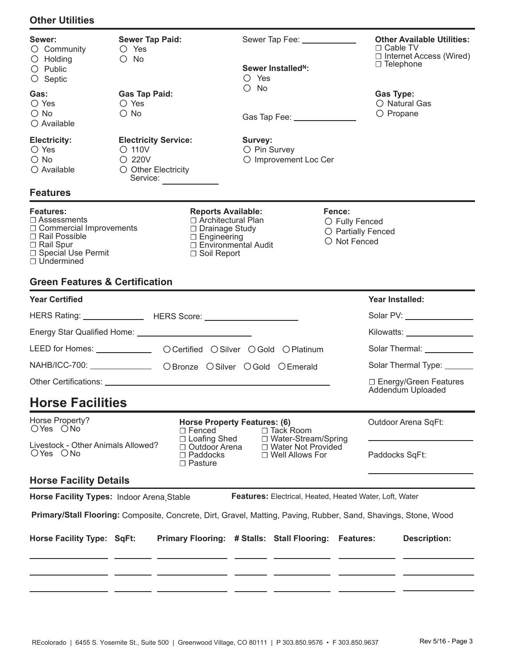## **Other Utilities**

| Sewer:<br>$\circ$ Community<br>$\bigcirc$ Holding<br>$\bigcirc$ Public<br>$\circ$ Septic                                                                     | <b>Sewer Tap Paid:</b><br>O Yes<br>$\bigcirc$ No                                           |                                                                                                                                       | O Yes                   | Sewer Tap Fee: _____________<br>Sewer Installed <sup>N</sup> : |                                                                | $\Box$ Cable TV<br>$\Box$ Telephone                                                                                                                                                                                                  | <b>Other Available Utilities:</b><br>$\Box$ Internet Access (Wired) |
|--------------------------------------------------------------------------------------------------------------------------------------------------------------|--------------------------------------------------------------------------------------------|---------------------------------------------------------------------------------------------------------------------------------------|-------------------------|----------------------------------------------------------------|----------------------------------------------------------------|--------------------------------------------------------------------------------------------------------------------------------------------------------------------------------------------------------------------------------------|---------------------------------------------------------------------|
| Gas:<br>$\circ$ Yes<br>$\bigcirc$ No<br>$\bigcirc$ Available                                                                                                 | <b>Gas Tap Paid:</b><br>○ Yes<br>$\bigcirc$ No                                             |                                                                                                                                       | $\bigcirc$ No           | Gas Tap Fee: _______________                                   |                                                                | <b>Gas Type:</b><br>$\bigcirc$ Propane                                                                                                                                                                                               | $\bigcirc$ Natural Gas                                              |
| <b>Electricity:</b><br>$\bigcirc$ Yes<br>$\bigcirc$ No<br>$\bigcirc$ Available                                                                               | <b>Electricity Service:</b><br>$\circ$ 110V<br>$O$ 220V<br>O Other Electricity<br>Service: |                                                                                                                                       | Survey:<br>O Pin Survey | O Improvement Loc Cer                                          |                                                                |                                                                                                                                                                                                                                      |                                                                     |
| <b>Features</b>                                                                                                                                              |                                                                                            |                                                                                                                                       |                         |                                                                |                                                                |                                                                                                                                                                                                                                      |                                                                     |
| <b>Features:</b><br>$\Box$ Assessments<br>$\Box$ Commercial Improvements<br>$\Box$ Rail Possible<br>□ Rail Spur<br>□ Special Use Permit<br>$\Box$ Undermined |                                                                                            | <b>Reports Available:</b><br>□ Architectural Plan<br>□ Drainage Study<br>$\Box$ Engineering<br>□ Environmental Audit<br>□ Soil Report |                         |                                                                | Fence:<br>O Fully Fenced<br>O Partially Fenced<br>O Not Fenced |                                                                                                                                                                                                                                      |                                                                     |
| <b>Green Features &amp; Certification</b>                                                                                                                    |                                                                                            |                                                                                                                                       |                         |                                                                |                                                                |                                                                                                                                                                                                                                      |                                                                     |
| <b>Year Certified</b>                                                                                                                                        |                                                                                            |                                                                                                                                       |                         |                                                                |                                                                | Year Installed:                                                                                                                                                                                                                      |                                                                     |
|                                                                                                                                                              |                                                                                            |                                                                                                                                       |                         |                                                                |                                                                | Solar PV: View Contract Contract Contract Contract Contract Contract Contract Contract Contract Contract Contract Contract Contract Contract Contract Contract Contract Contract Contract Contract Contract Contract Contract        |                                                                     |
|                                                                                                                                                              |                                                                                            |                                                                                                                                       |                         |                                                                |                                                                | Kilowatts: _________________                                                                                                                                                                                                         |                                                                     |
| LEED for Homes: _________________ OCertified OSilver OGold OPlatinum                                                                                         |                                                                                            |                                                                                                                                       |                         |                                                                |                                                                | Solar Thermal: <b>Contract Contract Contract Contract Contract Contract Contract Contract Contract Contract Contract Contract Contract Contract Contract Contract Contract Contract Contract Contract Contract Contract Contract</b> |                                                                     |
| NAHB/ICC-700: ________________ OBronze OSilver OGold OEmerald                                                                                                |                                                                                            |                                                                                                                                       |                         |                                                                |                                                                | Solar Thermal Type: ______                                                                                                                                                                                                           |                                                                     |
|                                                                                                                                                              |                                                                                            |                                                                                                                                       |                         |                                                                | □ Energy/Green Features<br>Addendum Uploaded                   |                                                                                                                                                                                                                                      |                                                                     |
| <b>Horse Facilities</b>                                                                                                                                      |                                                                                            |                                                                                                                                       |                         |                                                                |                                                                |                                                                                                                                                                                                                                      |                                                                     |
| Horse Property?<br><b>Horse Property Features: (6)</b><br>OYes ONo<br>□ Tack Room<br>$\Box$ Fenced<br>□ Loafing Shed<br>□ Water-Stream/Spring                |                                                                                            |                                                                                                                                       |                         |                                                                |                                                                | Outdoor Arena SqFt:                                                                                                                                                                                                                  |                                                                     |
| Livestock - Other Animals Allowed?<br>□ Outdoor Arena<br>□ Water Not Provided<br>OYes ONo<br>$\Box$ Paddocks<br>$\Box$ Well Allows For<br>$\Box$ Pasture     |                                                                                            |                                                                                                                                       |                         |                                                                | Paddocks SqFt:                                                 |                                                                                                                                                                                                                                      |                                                                     |
| <b>Horse Facility Details</b>                                                                                                                                |                                                                                            |                                                                                                                                       |                         |                                                                |                                                                |                                                                                                                                                                                                                                      |                                                                     |
| Horse Facility Types: Indoor Arena Stable                                                                                                                    |                                                                                            |                                                                                                                                       |                         | Features: Electrical, Heated, Heated Water, Loft, Water        |                                                                |                                                                                                                                                                                                                                      |                                                                     |
| Primary/Stall Flooring: Composite, Concrete, Dirt, Gravel, Matting, Paving, Rubber, Sand, Shavings, Stone, Wood                                              |                                                                                            |                                                                                                                                       |                         |                                                                |                                                                |                                                                                                                                                                                                                                      |                                                                     |
| Horse Facility Type: SqFt:                                                                                                                                   |                                                                                            | Primary Flooring: # Stalls: Stall Flooring:                                                                                           |                         |                                                                | <b>Features:</b>                                               |                                                                                                                                                                                                                                      | <b>Description:</b>                                                 |
|                                                                                                                                                              |                                                                                            |                                                                                                                                       |                         |                                                                |                                                                |                                                                                                                                                                                                                                      |                                                                     |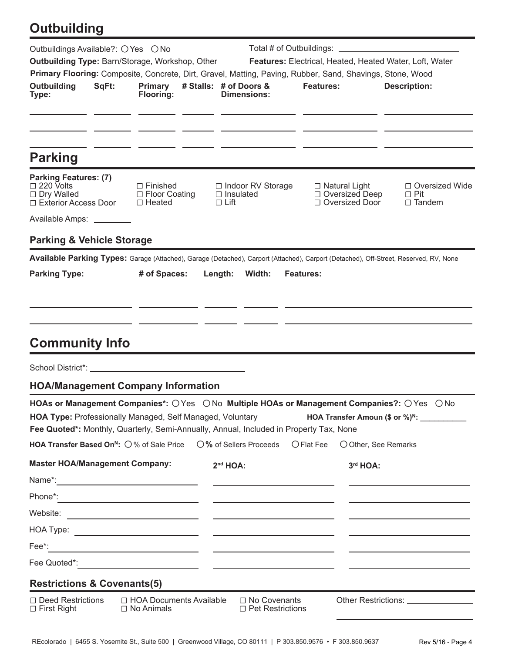## **Outbuilding**

| Outbuildings Available?: O Yes O No<br><b>Outbuilding Type: Barn/Storage, Workshop, Other</b><br>Primary Flooring: Composite, Concrete, Dirt, Gravel, Matting, Paving, Rubber, Sand, Shavings, Stone, Wood<br><b>Outbuilding</b><br>Type:                                                                                                                   | SqFt: | <b>Primary</b><br><b>Flooring:</b>                  |                                 | # Stalls: # of Doors &<br>Dimensions:     | <b>Features:</b> |                                                              | Features: Electrical, Heated, Heated Water, Loft, Water<br><b>Description:</b>                                                        |
|-------------------------------------------------------------------------------------------------------------------------------------------------------------------------------------------------------------------------------------------------------------------------------------------------------------------------------------------------------------|-------|-----------------------------------------------------|---------------------------------|-------------------------------------------|------------------|--------------------------------------------------------------|---------------------------------------------------------------------------------------------------------------------------------------|
| <b>Parking</b>                                                                                                                                                                                                                                                                                                                                              |       |                                                     |                                 |                                           |                  |                                                              |                                                                                                                                       |
| <b>Parking Features: (7)</b><br>$\Box$ 220 Volts<br>$\Box$ Dry Walled<br>□ Exterior Access Door<br>Available Amps: ________                                                                                                                                                                                                                                 |       | $\Box$ Finished<br>□ Floor Coating<br>$\Box$ Heated | $\Box$ Insulated<br>$\Box$ Lift | □ Indoor RV Storage                       |                  | $\Box$ Natural Light<br>□ Oversized Deep<br>□ Oversized Door | □ Oversized Wide<br>$\Box$ Pit<br>$\Box$ Tandem                                                                                       |
| <b>Parking &amp; Vehicle Storage</b>                                                                                                                                                                                                                                                                                                                        |       |                                                     |                                 |                                           |                  |                                                              |                                                                                                                                       |
|                                                                                                                                                                                                                                                                                                                                                             |       |                                                     |                                 |                                           |                  |                                                              | Available Parking Types: Garage (Attached), Garage (Detached), Carport (Attached), Carport (Detached), Off-Street, Reserved, RV, None |
| <b>Parking Type:</b>                                                                                                                                                                                                                                                                                                                                        |       | # of Spaces:                                        | Length:                         | Width:                                    | <b>Features:</b> |                                                              |                                                                                                                                       |
| <b>Community Info</b>                                                                                                                                                                                                                                                                                                                                       |       |                                                     |                                 |                                           |                  |                                                              |                                                                                                                                       |
|                                                                                                                                                                                                                                                                                                                                                             |       |                                                     |                                 |                                           |                  |                                                              |                                                                                                                                       |
| <b>HOA/Management Company Information</b>                                                                                                                                                                                                                                                                                                                   |       |                                                     |                                 |                                           |                  |                                                              |                                                                                                                                       |
| HOAs or Management Companies*: OYes ONo Multiple HOAs or Management Companies?: OYes<br>HOA Type: Professionally Managed, Self Managed, Voluntary<br>Fee Quoted*: Monthly, Quarterly, Semi-Annually, Annual, Included in Property Tax, None<br>HOA Transfer Based On <sup>N</sup> : 0% of Sale Price 0% of Sellers Proceeds O Flat Fee 0 Other, See Remarks |       |                                                     |                                 |                                           |                  |                                                              | $\bigcirc$ No<br><b>HOA Transfer Amoun (\$ or %)<sup>N</sup>:</b>                                                                     |
| <b>Master HOA/Management Company:</b>                                                                                                                                                                                                                                                                                                                       |       |                                                     | $2nd HOA$ :                     |                                           |                  | 3rd HOA:                                                     |                                                                                                                                       |
|                                                                                                                                                                                                                                                                                                                                                             |       |                                                     |                                 |                                           |                  |                                                              |                                                                                                                                       |
|                                                                                                                                                                                                                                                                                                                                                             |       |                                                     |                                 |                                           |                  |                                                              | <u> 1989 - Johann Stein, fransk politik (d. 1989)</u>                                                                                 |
|                                                                                                                                                                                                                                                                                                                                                             |       |                                                     |                                 |                                           |                  |                                                              |                                                                                                                                       |
|                                                                                                                                                                                                                                                                                                                                                             |       |                                                     |                                 |                                           |                  |                                                              |                                                                                                                                       |
|                                                                                                                                                                                                                                                                                                                                                             |       |                                                     |                                 |                                           |                  |                                                              |                                                                                                                                       |
|                                                                                                                                                                                                                                                                                                                                                             |       |                                                     |                                 |                                           |                  |                                                              |                                                                                                                                       |
| <b>Restrictions &amp; Covenants(5)</b>                                                                                                                                                                                                                                                                                                                      |       |                                                     |                                 |                                           |                  |                                                              |                                                                                                                                       |
| $\Box$ Deed Restrictions<br>$\Box$ First Right                                                                                                                                                                                                                                                                                                              |       | $\Box$ HOA Documents Available<br>$\Box$ No Animals |                                 | □ No Covenants<br>$\Box$ Pet Restrictions |                  |                                                              | Other Restrictions: ________________                                                                                                  |